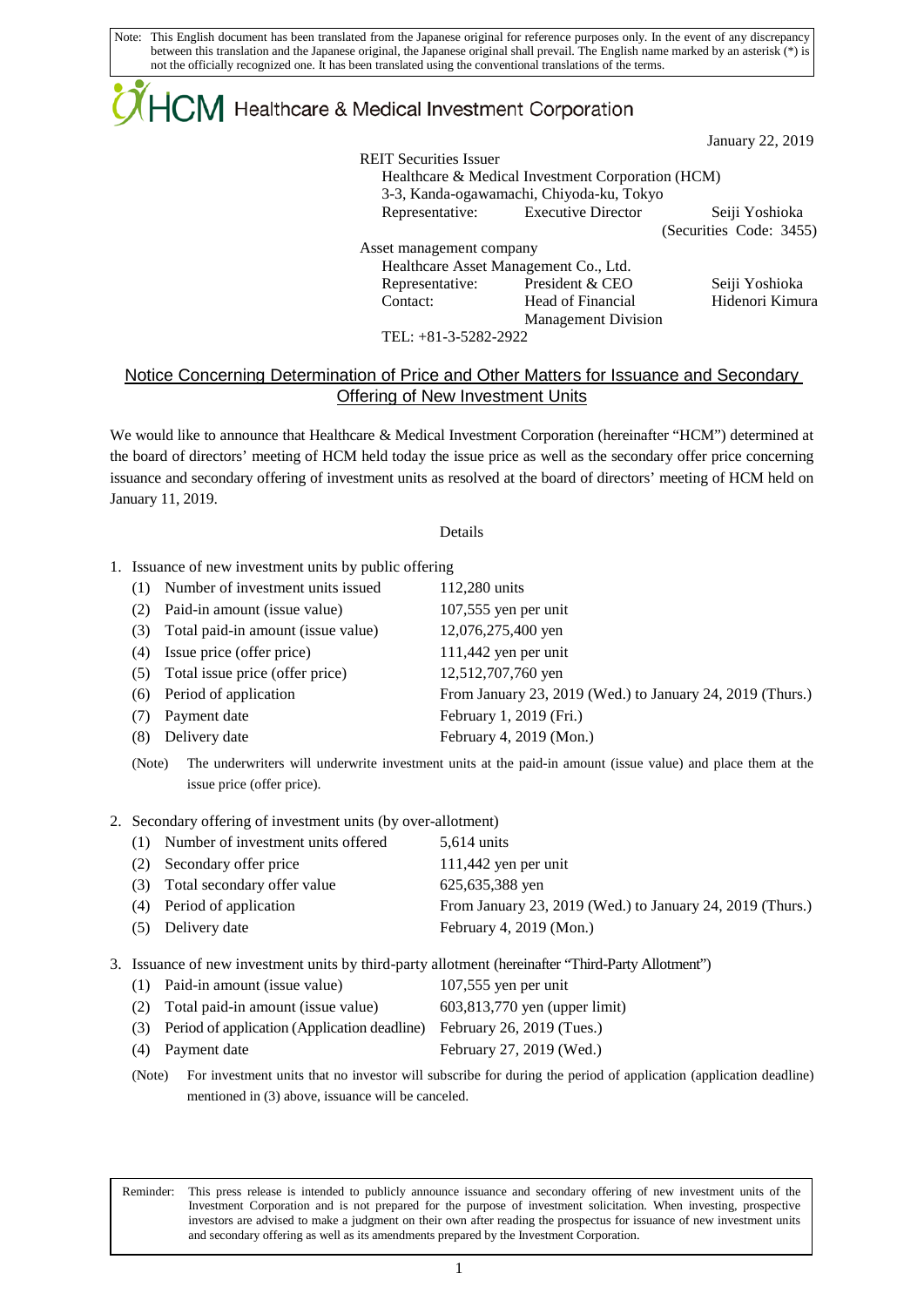Note: This English document has been translated from the Japanese original for reference purposes only. In the event of any discrepancy between this translation and the Japanese original, the Japanese original shall prevail. The English name marked by an asterisk (\*) is not the officially recognized one. It has been translated using the conventional translations of the terms.

## ${|\!\!|\!\! \mathbf{CM}\!|}$  Healthcare & Medical Investment Corporation

January 22, 2019

REIT Securities Issuer Healthcare & Medical Investment Corporation (HCM) 3-3, Kanda-ogawamachi, Chiyoda-ku, Tokyo Representative: Executive Director Seiji Yoshioka (Securities Code: 3455) Asset management company Healthcare Asset Management Co., Ltd. Representative: President & CEO Seiji Yoshioka Contact: Head of Financial Management Division Hidenori Kimura

TEL: +81-3-5282-2922

## Notice Concerning Determination of Price and Other Matters for Issuance and Secondary **Offering of New Investment Units**

We would like to announce that Healthcare & Medical Investment Corporation (hereinafter "HCM") determined at the board of directors' meeting of HCM held today the issue price as well as the secondary offer price concerning issuance and secondary offering of investment units as resolved at the board of directors' meeting of HCM held on January 11, 2019.

## Details

- 1. Issuance of new investment units by public offering
	- (1) Number of investment units issued 112,280 units
	- (2) Paid-in amount (issue value) 107,555 yen per unit
	- (3) Total paid-in amount (issue value) 12,076,275,400 yen
	- (4) Issue price (offer price) 111,442 yen per unit
	- (5) Total issue price (offer price) 12,512,707,760 yen
	- (6) Period of application From January 23, 2019 (Wed.) to January 24, 2019 (Thurs.)
	- (7) Payment date February 1, 2019 (Fri.)
	- (8) Delivery date February 4, 2019 (Mon.)
	- (Note) The underwriters will underwrite investment units at the paid-in amount (issue value) and place them at the issue price (offer price).
- 2. Secondary offering of investment units (by over-allotment)

 $\mathsf{L}$ 

- (1) Number of investment units offered 5,614 units
- (2) Secondary offer price 111,442 yen per unit (3) Total secondary offer value 625,635,388 yen (4) Period of application From January 23, 2019 (Wed.) to January 24, 2019 (Thurs.) (5) Delivery date February 4, 2019 (Mon.)
- 3. Issuance of new investment units by third-party allotment (hereinafter "Third-Party Allotment")

| (1) Paid-in amount (issue value)                 | $107,555$ yen per unit        |
|--------------------------------------------------|-------------------------------|
| (2) Total paid-in amount (issue value)           | 603,813,770 yen (upper limit) |
| (3) Period of application (Application deadline) | February 26, 2019 (Tues.)     |
| (4) Payment date                                 | February 27, 2019 (Wed.)      |

(Note) For investment units that no investor will subscribe for during the period of application (application deadline) mentioned in (3) above, issuance will be canceled.

Reminder: This press release is intended to publicly announce issuance and secondary offering of new investment units of the Investment Corporation and is not prepared for the purpose of investment solicitation. When investing, prospective investors are advised to make a judgment on their own after reading the prospectus for issuance of new investment units and secondary offering as well as its amendments prepared by the Investment Corporation.